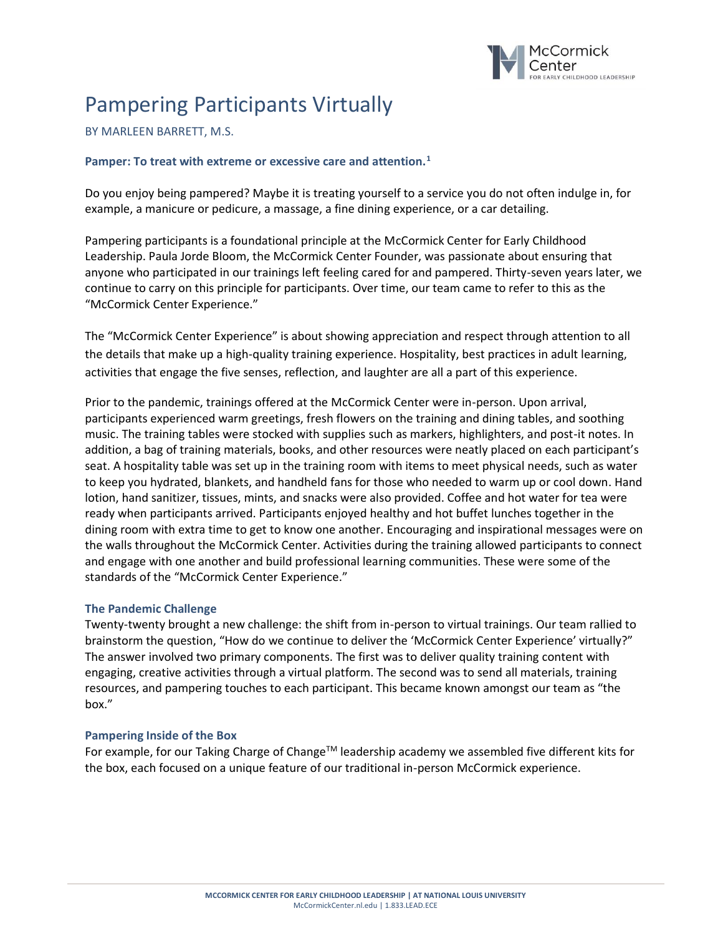

# Pampering Participants Virtually

## BY MARLEEN BARRETT, M.S.

### **Pamper: To treat with extreme or excessive care and attention.<sup>1</sup>**

Do you enjoy being pampered? Maybe it is treating yourself to a service you do not often indulge in, for example, a manicure or pedicure, a massage, a fine dining experience, or a car detailing.

Pampering participants is a foundational principle at the McCormick Center for Early Childhood Leadership. Paula Jorde Bloom, the McCormick Center Founder, was passionate about ensuring that anyone who participated in our trainings left feeling cared for and pampered. Thirty-seven years later, we continue to carry on this principle for participants. Over time, our team came to refer to this as the "McCormick Center Experience."

The "McCormick Center Experience" is about showing appreciation and respect through attention to all the details that make up a high-quality training experience. Hospitality, best practices in adult learning, activities that engage the five senses, reflection, and laughter are all a part of this experience.

Prior to the pandemic, trainings offered at the McCormick Center were in-person. Upon arrival, participants experienced warm greetings, fresh flowers on the training and dining tables, and soothing music. The training tables were stocked with supplies such as markers, highlighters, and post-it notes. In addition, a bag of training materials, books, and other resources were neatly placed on each participant's seat. A hospitality table was set up in the training room with items to meet physical needs, such as water to keep you hydrated, blankets, and handheld fans for those who needed to warm up or cool down. Hand lotion, hand sanitizer, tissues, mints, and snacks were also provided. Coffee and hot water for tea were ready when participants arrived. Participants enjoyed healthy and hot buffet lunches together in the dining room with extra time to get to know one another. Encouraging and inspirational messages were on the walls throughout the McCormick Center. Activities during the training allowed participants to connect and engage with one another and build professional learning communities. These were some of the standards of the "McCormick Center Experience."

#### **The Pandemic Challenge**

Twenty-twenty brought a new challenge: the shift from in-person to virtual trainings. Our team rallied to brainstorm the question, "How do we continue to deliver the 'McCormick Center Experience' virtually?" The answer involved two primary components. The first was to deliver quality training content with engaging, creative activities through a virtual platform. The second was to send all materials, training resources, and pampering touches to each participant. This became known amongst our team as "the box."

#### **Pampering Inside of the Box**

For example, for our Taking Charge of Change™ leadership academy we assembled five different kits for the box, each focused on a unique feature of our traditional in-person McCormick experience.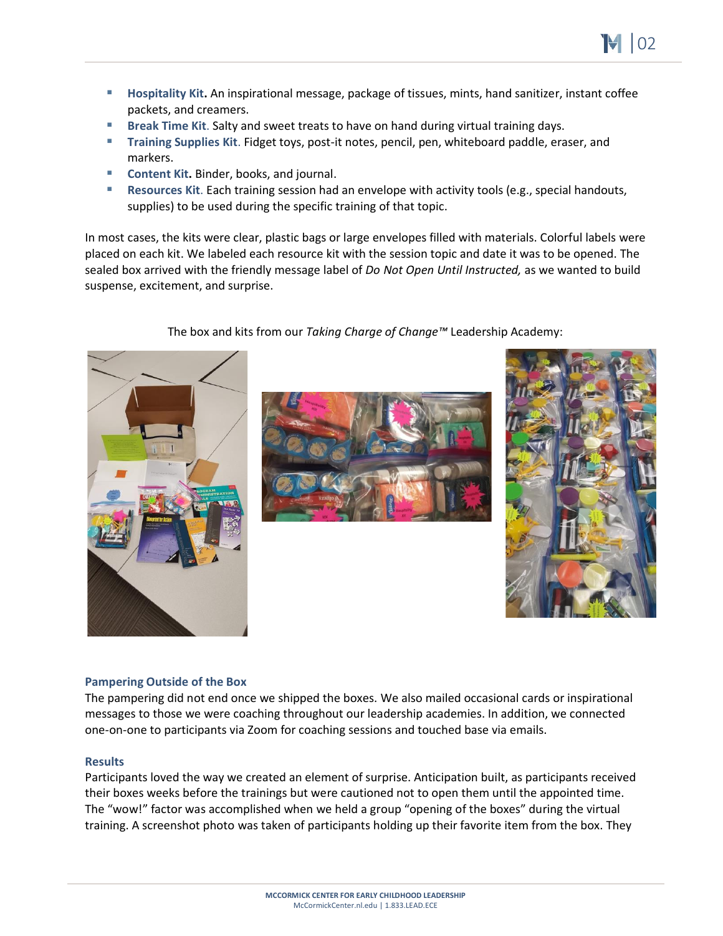- **Hospitality Kit.** An inspirational message, package of tissues, mints, hand sanitizer, instant coffee packets, and creamers.
- Break Time Kit. Salty and sweet treats to have on hand during virtual training days.
- **Training Supplies Kit**. Fidget toys, post-it notes, pencil, pen, whiteboard paddle, eraser, and markers.
- **Content Kit.** Binder, books, and journal.
- **Resources Kit**. Each training session had an envelope with activity tools (e.g., special handouts, supplies) to be used during the specific training of that topic.

In most cases, the kits were clear, plastic bags or large envelopes filled with materials. Colorful labels were placed on each kit. We labeled each resource kit with the session topic and date it was to be opened. The sealed box arrived with the friendly message label of *Do Not Open Until Instructed,* as we wanted to build suspense, excitement, and surprise.



The box and kits from our *Taking Charge of Change™* Leadership Academy:





# **Pampering Outside of the Box**

The pampering did not end once we shipped the boxes. We also mailed occasional cards or inspirational messages to those we were coaching throughout our leadership academies. In addition, we connected one-on-one to participants via Zoom for coaching sessions and touched base via emails.

# **Results**

Participants loved the way we created an element of surprise. Anticipation built, as participants received their boxes weeks before the trainings but were cautioned not to open them until the appointed time. The "wow!" factor was accomplished when we held a group "opening of the boxes" during the virtual training. A screenshot photo was taken of participants holding up their favorite item from the box. They